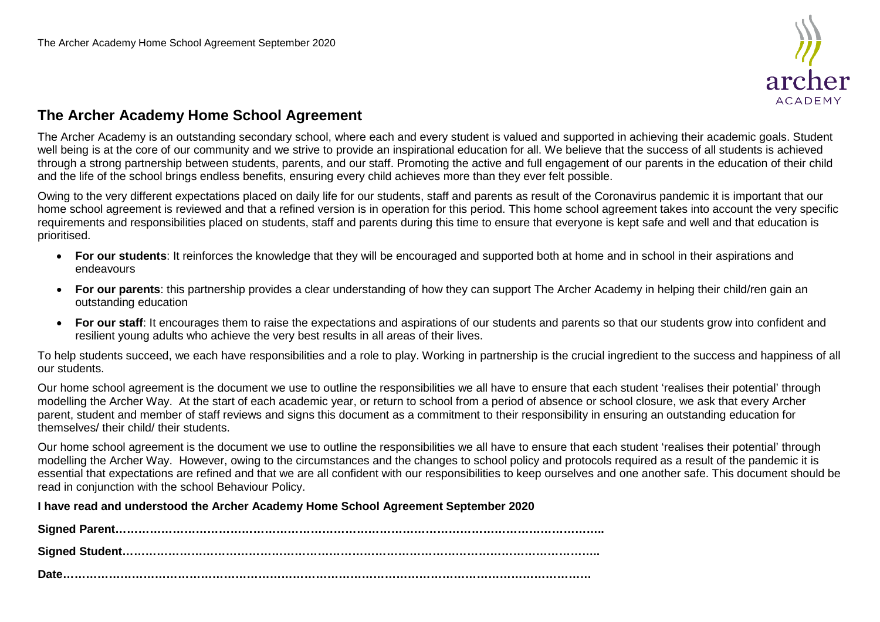

## **The Archer Academy Home School Agreement**

The Archer Academy is an outstanding secondary school, where each and every student is valued and supported in achieving their academic goals. Student well being is at the core of our community and we strive to provide an inspirational education for all. We believe that the success of all students is achieved through a strong partnership between students, parents, and our staff. Promoting the active and full engagement of our parents in the education of their child and the life of the school brings endless benefits, ensuring every child achieves more than they ever felt possible.

Owing to the very different expectations placed on daily life for our students, staff and parents as result of the Coronavirus pandemic it is important that our home school agreement is reviewed and that a refined version is in operation for this period. This home school agreement takes into account the very specific requirements and responsibilities placed on students, staff and parents during this time to ensure that everyone is kept safe and well and that education is prioritised.

- **For our students**: It reinforces the knowledge that they will be encouraged and supported both at home and in school in their aspirations and endeavours
- **For our parents**: this partnership provides a clear understanding of how they can support The Archer Academy in helping their child/ren gain an outstanding education
- **For our staff**: It encourages them to raise the expectations and aspirations of our students and parents so that our students grow into confident and resilient young adults who achieve the very best results in all areas of their lives.

To help students succeed, we each have responsibilities and a role to play. Working in partnership is the crucial ingredient to the success and happiness of all our students.

Our home school agreement is the document we use to outline the responsibilities we all have to ensure that each student 'realises their potential' through modelling the Archer Way. At the start of each academic year, or return to school from a period of absence or school closure, we ask that every Archer parent, student and member of staff reviews and signs this document as a commitment to their responsibility in ensuring an outstanding education for themselves/ their child/ their students.

Our home school agreement is the document we use to outline the responsibilities we all have to ensure that each student 'realises their potential' through modelling the Archer Way. However, owing to the circumstances and the changes to school policy and protocols required as a result of the pandemic it is essential that expectations are refined and that we are all confident with our responsibilities to keep ourselves and one another safe. This document should be read in conjunction with the school Behaviour Policy.

**I have read and understood the Archer Academy Home School Agreement September 2020**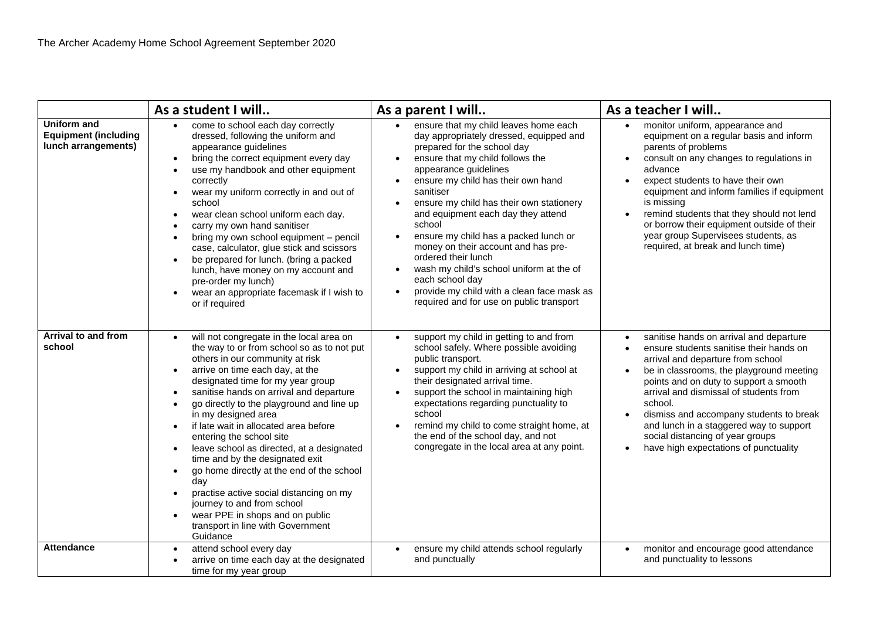|                                                                          | As a student I will                                                                                                                                                                                                                                                                                                                                                                                                                                                                                                                                                                                                                                                                                                                                                                            | As a parent I will                                                                                                                                                                                                                                                                                                                                                                                                                                                                                                                                                                                                    | As a teacher I will                                                                                                                                                                                                                                                                                                                                                                                                                                                                       |
|--------------------------------------------------------------------------|------------------------------------------------------------------------------------------------------------------------------------------------------------------------------------------------------------------------------------------------------------------------------------------------------------------------------------------------------------------------------------------------------------------------------------------------------------------------------------------------------------------------------------------------------------------------------------------------------------------------------------------------------------------------------------------------------------------------------------------------------------------------------------------------|-----------------------------------------------------------------------------------------------------------------------------------------------------------------------------------------------------------------------------------------------------------------------------------------------------------------------------------------------------------------------------------------------------------------------------------------------------------------------------------------------------------------------------------------------------------------------------------------------------------------------|-------------------------------------------------------------------------------------------------------------------------------------------------------------------------------------------------------------------------------------------------------------------------------------------------------------------------------------------------------------------------------------------------------------------------------------------------------------------------------------------|
| <b>Uniform and</b><br><b>Equipment (including</b><br>lunch arrangements) | come to school each day correctly<br>dressed, following the uniform and<br>appearance guidelines<br>bring the correct equipment every day<br>$\bullet$<br>use my handbook and other equipment<br>correctly<br>wear my uniform correctly in and out of<br>$\bullet$<br>school<br>wear clean school uniform each day.<br>$\bullet$<br>carry my own hand sanitiser<br>bring my own school equipment - pencil<br>case, calculator, glue stick and scissors<br>be prepared for lunch. (bring a packed<br>$\bullet$<br>lunch, have money on my account and<br>pre-order my lunch)<br>wear an appropriate facemask if I wish to<br>$\bullet$<br>or if required                                                                                                                                        | ensure that my child leaves home each<br>day appropriately dressed, equipped and<br>prepared for the school day<br>ensure that my child follows the<br>appearance guidelines<br>ensure my child has their own hand<br>sanitiser<br>ensure my child has their own stationery<br>and equipment each day they attend<br>school<br>ensure my child has a packed lunch or<br>$\bullet$<br>money on their account and has pre-<br>ordered their lunch<br>wash my child's school uniform at the of<br>$\bullet$<br>each school day<br>provide my child with a clean face mask as<br>required and for use on public transport | monitor uniform, appearance and<br>equipment on a regular basis and inform<br>parents of problems<br>consult on any changes to regulations in<br>advance<br>expect students to have their own<br>$\bullet$<br>equipment and inform families if equipment<br>is missing<br>remind students that they should not lend<br>$\bullet$<br>or borrow their equipment outside of their<br>year group Supervisees students, as<br>required, at break and lunch time)                               |
| Arrival to and from<br>school                                            | will not congregate in the local area on<br>$\bullet$<br>the way to or from school so as to not put<br>others in our community at risk<br>arrive on time each day, at the<br>$\bullet$<br>designated time for my year group<br>sanitise hands on arrival and departure<br>go directly to the playground and line up<br>$\bullet$<br>in my designed area<br>if late wait in allocated area before<br>$\bullet$<br>entering the school site<br>leave school as directed, at a designated<br>$\bullet$<br>time and by the designated exit<br>go home directly at the end of the school<br>$\bullet$<br>day<br>practise active social distancing on my<br>$\bullet$<br>journey to and from school<br>wear PPE in shops and on public<br>$\bullet$<br>transport in line with Government<br>Guidance | support my child in getting to and from<br>$\bullet$<br>school safely. Where possible avoiding<br>public transport.<br>support my child in arriving at school at<br>$\bullet$<br>their designated arrival time.<br>support the school in maintaining high<br>expectations regarding punctuality to<br>school<br>remind my child to come straight home, at<br>the end of the school day, and not<br>congregate in the local area at any point.                                                                                                                                                                         | sanitise hands on arrival and departure<br>$\bullet$<br>ensure students sanitise their hands on<br>$\bullet$<br>arrival and departure from school<br>be in classrooms, the playground meeting<br>$\bullet$<br>points and on duty to support a smooth<br>arrival and dismissal of students from<br>school.<br>dismiss and accompany students to break<br>$\bullet$<br>and lunch in a staggered way to support<br>social distancing of year groups<br>have high expectations of punctuality |
| <b>Attendance</b>                                                        | attend school every day<br>$\bullet$<br>arrive on time each day at the designated<br>time for my year group                                                                                                                                                                                                                                                                                                                                                                                                                                                                                                                                                                                                                                                                                    | ensure my child attends school regularly<br>$\bullet$<br>and punctually                                                                                                                                                                                                                                                                                                                                                                                                                                                                                                                                               | monitor and encourage good attendance<br>$\bullet$<br>and punctuality to lessons                                                                                                                                                                                                                                                                                                                                                                                                          |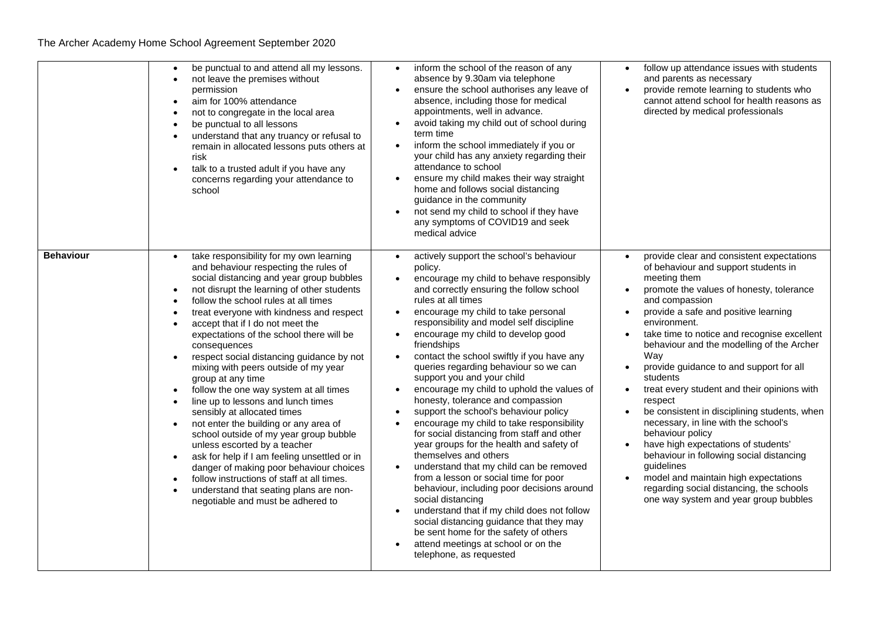|                  | be punctual to and attend all my lessons.<br>not leave the premises without<br>permission<br>aim for 100% attendance<br>$\bullet$<br>not to congregate in the local area<br>be punctual to all lessons<br>$\bullet$<br>understand that any truancy or refusal to<br>remain in allocated lessons puts others at<br>risk<br>talk to a trusted adult if you have any<br>concerns regarding your attendance to<br>school                                                                                                                                                                                                                                                                                                                                                                                                                                                                                                                                                      | inform the school of the reason of any<br>absence by 9.30am via telephone<br>ensure the school authorises any leave of<br>absence, including those for medical<br>appointments, well in advance.<br>avoid taking my child out of school during<br>term time<br>inform the school immediately if you or<br>$\bullet$<br>your child has any anxiety regarding their<br>attendance to school<br>ensure my child makes their way straight<br>home and follows social distancing<br>guidance in the community<br>not send my child to school if they have<br>any symptoms of COVID19 and seek<br>medical advice                                                                                                                                                                                                                                                                                                                                                                                                                                                                             | follow up attendance issues with students<br>$\bullet$<br>and parents as necessary<br>provide remote learning to students who<br>cannot attend school for health reasons as<br>directed by medical professionals                                                                                                                                                                                                                                                                                                                                                                                                                                                                                                                                                                                                                                                                 |
|------------------|---------------------------------------------------------------------------------------------------------------------------------------------------------------------------------------------------------------------------------------------------------------------------------------------------------------------------------------------------------------------------------------------------------------------------------------------------------------------------------------------------------------------------------------------------------------------------------------------------------------------------------------------------------------------------------------------------------------------------------------------------------------------------------------------------------------------------------------------------------------------------------------------------------------------------------------------------------------------------|----------------------------------------------------------------------------------------------------------------------------------------------------------------------------------------------------------------------------------------------------------------------------------------------------------------------------------------------------------------------------------------------------------------------------------------------------------------------------------------------------------------------------------------------------------------------------------------------------------------------------------------------------------------------------------------------------------------------------------------------------------------------------------------------------------------------------------------------------------------------------------------------------------------------------------------------------------------------------------------------------------------------------------------------------------------------------------------|----------------------------------------------------------------------------------------------------------------------------------------------------------------------------------------------------------------------------------------------------------------------------------------------------------------------------------------------------------------------------------------------------------------------------------------------------------------------------------------------------------------------------------------------------------------------------------------------------------------------------------------------------------------------------------------------------------------------------------------------------------------------------------------------------------------------------------------------------------------------------------|
| <b>Behaviour</b> | take responsibility for my own learning<br>and behaviour respecting the rules of<br>social distancing and year group bubbles<br>not disrupt the learning of other students<br>follow the school rules at all times<br>$\bullet$<br>treat everyone with kindness and respect<br>$\bullet$<br>accept that if I do not meet the<br>expectations of the school there will be<br>consequences<br>respect social distancing guidance by not<br>mixing with peers outside of my year<br>group at any time<br>follow the one way system at all times<br>$\bullet$<br>line up to lessons and lunch times<br>sensibly at allocated times<br>not enter the building or any area of<br>school outside of my year group bubble<br>unless escorted by a teacher<br>ask for help if I am feeling unsettled or in<br>danger of making poor behaviour choices<br>follow instructions of staff at all times.<br>understand that seating plans are non-<br>negotiable and must be adhered to | actively support the school's behaviour<br>policy.<br>encourage my child to behave responsibly<br>and correctly ensuring the follow school<br>rules at all times<br>encourage my child to take personal<br>responsibility and model self discipline<br>encourage my child to develop good<br>friendships<br>contact the school swiftly if you have any<br>queries regarding behaviour so we can<br>support you and your child<br>encourage my child to uphold the values of<br>honesty, tolerance and compassion<br>support the school's behaviour policy<br>encourage my child to take responsibility<br>for social distancing from staff and other<br>year groups for the health and safety of<br>themselves and others<br>understand that my child can be removed<br>from a lesson or social time for poor<br>behaviour, including poor decisions around<br>social distancing<br>understand that if my child does not follow<br>social distancing guidance that they may<br>be sent home for the safety of others<br>attend meetings at school or on the<br>telephone, as requested | provide clear and consistent expectations<br>of behaviour and support students in<br>meeting them<br>promote the values of honesty, tolerance<br>$\bullet$<br>and compassion<br>provide a safe and positive learning<br>$\bullet$<br>environment.<br>take time to notice and recognise excellent<br>$\bullet$<br>behaviour and the modelling of the Archer<br>Way<br>provide guidance to and support for all<br>$\bullet$<br>students<br>treat every student and their opinions with<br>$\bullet$<br>respect<br>be consistent in disciplining students, when<br>$\bullet$<br>necessary, in line with the school's<br>behaviour policy<br>have high expectations of students'<br>behaviour in following social distancing<br>guidelines<br>model and maintain high expectations<br>$\bullet$<br>regarding social distancing, the schools<br>one way system and year group bubbles |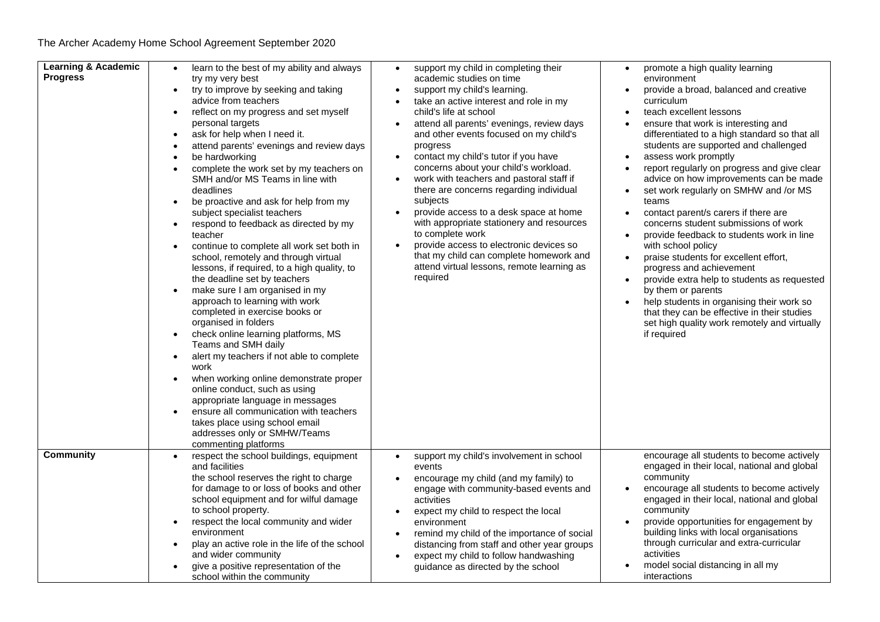| <b>Learning &amp; Academic</b><br><b>Progress</b> | learn to the best of my ability and always<br>$\bullet$<br>try my very best<br>try to improve by seeking and taking<br>$\bullet$<br>advice from teachers<br>reflect on my progress and set myself<br>$\bullet$<br>personal targets<br>ask for help when I need it.<br>$\bullet$<br>attend parents' evenings and review days<br>$\bullet$<br>be hardworking<br>$\bullet$<br>complete the work set by my teachers on<br>SMH and/or MS Teams in line with<br>deadlines<br>be proactive and ask for help from my<br>$\bullet$<br>subject specialist teachers<br>respond to feedback as directed by my<br>$\bullet$<br>teacher<br>continue to complete all work set both in<br>$\bullet$<br>school, remotely and through virtual<br>lessons, if required, to a high quality, to<br>the deadline set by teachers<br>make sure I am organised in my<br>$\bullet$<br>approach to learning with work<br>completed in exercise books or<br>organised in folders<br>check online learning platforms, MS<br>$\bullet$<br>Teams and SMH daily<br>alert my teachers if not able to complete<br>$\bullet$<br>work<br>when working online demonstrate proper<br>$\bullet$<br>online conduct, such as using<br>appropriate language in messages<br>ensure all communication with teachers<br>$\bullet$<br>takes place using school email<br>addresses only or SMHW/Teams | support my child in completing their<br>promote a high quality learning<br>$\bullet$<br>academic studies on time<br>environment<br>support my child's learning.<br>provide a broad, balanced and creative<br>$\bullet$<br>take an active interest and role in my<br>curriculum<br>child's life at school<br>teach excellent lessons<br>attend all parents' evenings, review days<br>ensure that work is interesting and<br>$\bullet$<br>differentiated to a high standard so that all<br>and other events focused on my child's<br>students are supported and challenged<br>progress<br>contact my child's tutor if you have<br>assess work promptly<br>concerns about your child's workload.<br>report regularly on progress and give clear<br>$\bullet$<br>work with teachers and pastoral staff if<br>advice on how improvements can be made<br>$\bullet$<br>there are concerns regarding individual<br>set work regularly on SMHW and /or MS<br>$\bullet$<br>subjects<br>teams<br>provide access to a desk space at home<br>contact parent/s carers if there are<br>with appropriate stationery and resources<br>concerns student submissions of work<br>to complete work<br>provide feedback to students work in line<br>provide access to electronic devices so<br>with school policy<br>$\bullet$<br>that my child can complete homework and<br>praise students for excellent effort,<br>$\bullet$<br>attend virtual lessons, remote learning as<br>progress and achievement<br>required<br>provide extra help to students as requested<br>$\bullet$<br>by them or parents<br>help students in organising their work so<br>that they can be effective in their studies<br>set high quality work remotely and virtually<br>if required |
|---------------------------------------------------|---------------------------------------------------------------------------------------------------------------------------------------------------------------------------------------------------------------------------------------------------------------------------------------------------------------------------------------------------------------------------------------------------------------------------------------------------------------------------------------------------------------------------------------------------------------------------------------------------------------------------------------------------------------------------------------------------------------------------------------------------------------------------------------------------------------------------------------------------------------------------------------------------------------------------------------------------------------------------------------------------------------------------------------------------------------------------------------------------------------------------------------------------------------------------------------------------------------------------------------------------------------------------------------------------------------------------------------------------------|----------------------------------------------------------------------------------------------------------------------------------------------------------------------------------------------------------------------------------------------------------------------------------------------------------------------------------------------------------------------------------------------------------------------------------------------------------------------------------------------------------------------------------------------------------------------------------------------------------------------------------------------------------------------------------------------------------------------------------------------------------------------------------------------------------------------------------------------------------------------------------------------------------------------------------------------------------------------------------------------------------------------------------------------------------------------------------------------------------------------------------------------------------------------------------------------------------------------------------------------------------------------------------------------------------------------------------------------------------------------------------------------------------------------------------------------------------------------------------------------------------------------------------------------------------------------------------------------------------------------------------------------------------------------------------------------------------------------------------------------|
| Community                                         | commenting platforms<br>respect the school buildings, equipment<br>$\bullet$<br>and facilities<br>the school reserves the right to charge<br>for damage to or loss of books and other<br>school equipment and for wilful damage<br>to school property.<br>respect the local community and wider<br>$\bullet$<br>environment<br>play an active role in the life of the school<br>$\bullet$<br>and wider community<br>give a positive representation of the<br>$\bullet$<br>school within the community                                                                                                                                                                                                                                                                                                                                                                                                                                                                                                                                                                                                                                                                                                                                                                                                                                                   | encourage all students to become actively<br>support my child's involvement in school<br>$\bullet$<br>engaged in their local, national and global<br>events<br>community<br>encourage my child (and my family) to<br>encourage all students to become actively<br>engage with community-based events and<br>engaged in their local, national and global<br>activities<br>community<br>expect my child to respect the local<br>$\bullet$<br>provide opportunities for engagement by<br>environment<br>building links with local organisations<br>remind my child of the importance of social<br>through curricular and extra-curricular<br>distancing from staff and other year groups<br>activities<br>expect my child to follow handwashing<br>$\bullet$<br>model social distancing in all my<br>guidance as directed by the school<br>interactions                                                                                                                                                                                                                                                                                                                                                                                                                                                                                                                                                                                                                                                                                                                                                                                                                                                                                         |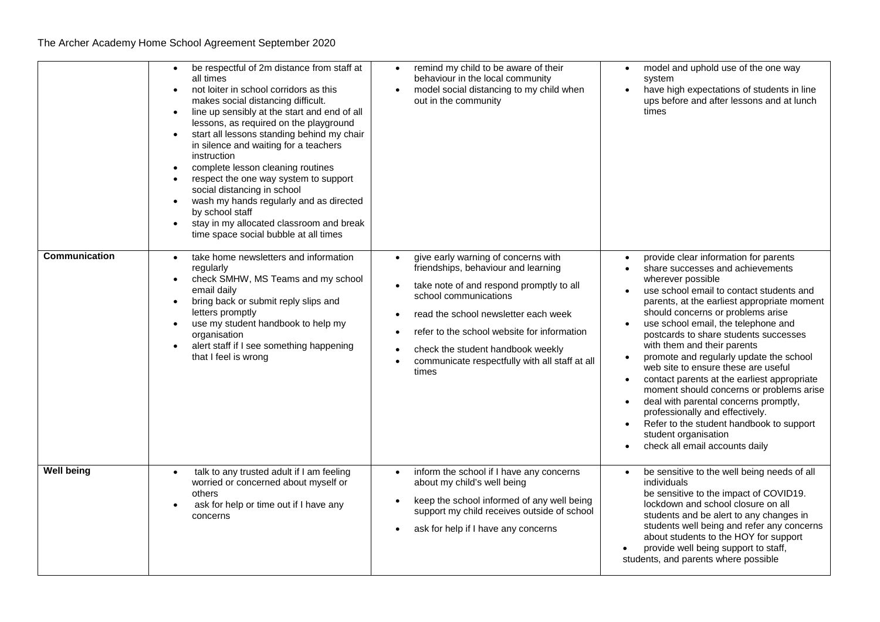|                      | be respectful of 2m distance from staff at<br>$\bullet$<br>all times<br>not loiter in school corridors as this<br>$\bullet$<br>makes social distancing difficult.<br>line up sensibly at the start and end of all<br>$\bullet$<br>lessons, as required on the playground<br>start all lessons standing behind my chair<br>$\bullet$<br>in silence and waiting for a teachers<br>instruction<br>complete lesson cleaning routines<br>respect the one way system to support<br>$\bullet$<br>social distancing in school<br>wash my hands regularly and as directed<br>$\bullet$<br>by school staff<br>stay in my allocated classroom and break<br>$\bullet$<br>time space social bubble at all times | remind my child to be aware of their<br>behaviour in the local community<br>model social distancing to my child when<br>$\bullet$<br>out in the community                                                                                                                                                                              | model and uphold use of the one way<br>$\bullet$<br>system<br>have high expectations of students in line<br>$\bullet$<br>ups before and after lessons and at lunch<br>times                                                                                                                                                                                                                                                                                                                                                                                                                                                                                                                                                                                                                |
|----------------------|----------------------------------------------------------------------------------------------------------------------------------------------------------------------------------------------------------------------------------------------------------------------------------------------------------------------------------------------------------------------------------------------------------------------------------------------------------------------------------------------------------------------------------------------------------------------------------------------------------------------------------------------------------------------------------------------------|----------------------------------------------------------------------------------------------------------------------------------------------------------------------------------------------------------------------------------------------------------------------------------------------------------------------------------------|--------------------------------------------------------------------------------------------------------------------------------------------------------------------------------------------------------------------------------------------------------------------------------------------------------------------------------------------------------------------------------------------------------------------------------------------------------------------------------------------------------------------------------------------------------------------------------------------------------------------------------------------------------------------------------------------------------------------------------------------------------------------------------------------|
| <b>Communication</b> | take home newsletters and information<br>$\bullet$<br>regularly<br>check SMHW, MS Teams and my school<br>$\bullet$<br>email daily<br>bring back or submit reply slips and<br>$\bullet$<br>letters promptly<br>use my student handbook to help my<br>$\bullet$<br>organisation<br>alert staff if I see something happening<br>that I feel is wrong                                                                                                                                                                                                                                                                                                                                                  | give early warning of concerns with<br>friendships, behaviour and learning<br>take note of and respond promptly to all<br>school communications<br>read the school newsletter each week<br>refer to the school website for information<br>check the student handbook weekly<br>communicate respectfully with all staff at all<br>times | provide clear information for parents<br>share successes and achievements<br>$\bullet$<br>wherever possible<br>use school email to contact students and<br>parents, at the earliest appropriate moment<br>should concerns or problems arise<br>use school email, the telephone and<br>$\bullet$<br>postcards to share students successes<br>with them and their parents<br>promote and regularly update the school<br>web site to ensure these are useful<br>contact parents at the earliest appropriate<br>$\bullet$<br>moment should concerns or problems arise<br>deal with parental concerns promptly,<br>$\bullet$<br>professionally and effectively.<br>Refer to the student handbook to support<br>$\bullet$<br>student organisation<br>check all email accounts daily<br>$\bullet$ |
| <b>Well being</b>    | talk to any trusted adult if I am feeling<br>$\bullet$<br>worried or concerned about myself or<br>others<br>ask for help or time out if I have any<br>concerns                                                                                                                                                                                                                                                                                                                                                                                                                                                                                                                                     | inform the school if I have any concerns<br>$\bullet$<br>about my child's well being<br>keep the school informed of any well being<br>support my child receives outside of school<br>ask for help if I have any concerns                                                                                                               | be sensitive to the well being needs of all<br>$\bullet$<br>individuals<br>be sensitive to the impact of COVID19.<br>lockdown and school closure on all<br>students and be alert to any changes in<br>students well being and refer any concerns<br>about students to the HOY for support<br>provide well being support to staff,<br>students, and parents where possible                                                                                                                                                                                                                                                                                                                                                                                                                  |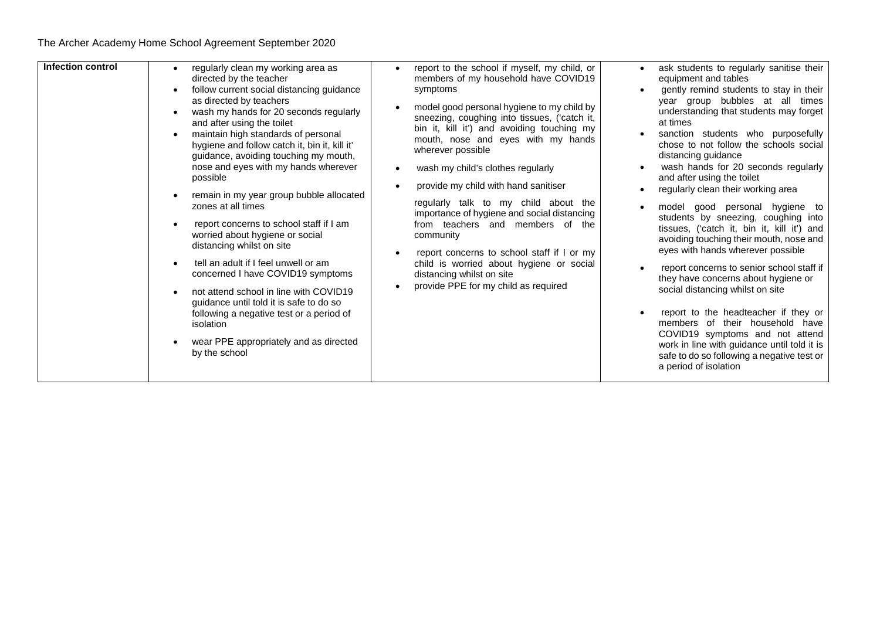| Infection control | regularly clean my working area as<br>directed by the teacher<br>follow current social distancing guidance<br>as directed by teachers<br>wash my hands for 20 seconds regularly<br>and after using the toilet<br>maintain high standards of personal<br>hygiene and follow catch it, bin it, kill it'<br>guidance, avoiding touching my mouth,<br>nose and eyes with my hands wherever<br>possible<br>remain in my year group bubble allocated<br>zones at all times<br>report concerns to school staff if I am<br>worried about hygiene or social<br>distancing whilst on site<br>tell an adult if I feel unwell or am<br>concerned I have COVID19 symptoms<br>not attend school in line with COVID19<br>guidance until told it is safe to do so<br>following a negative test or a period of<br>isolation<br>wear PPE appropriately and as directed<br>by the school | report to the school if myself, my child, or<br>members of my household have COVID19<br>symptoms<br>model good personal hygiene to my child by<br>sneezing, coughing into tissues, ('catch it,<br>bin it, kill it') and avoiding touching my<br>mouth, nose and eyes with my hands<br>wherever possible<br>wash my child's clothes regularly<br>provide my child with hand sanitiser<br>regularly talk to my child about the<br>importance of hygiene and social distancing<br>from teachers and members of the<br>community<br>report concerns to school staff if I or my<br>child is worried about hygiene or social<br>distancing whilst on site<br>provide PPE for my child as required | ask students to regularly sanitise their<br>equipment and tables<br>gently remind students to stay in their<br>year group bubbles at all times<br>understanding that students may forget<br>at times<br>sanction students who purposefully<br>chose to not follow the schools social<br>distancing guidance<br>wash hands for 20 seconds regularly<br>and after using the toilet<br>regularly clean their working area<br>model good personal hygiene to<br>students by sneezing, coughing into<br>tissues, ('catch it, bin it, kill it') and<br>avoiding touching their mouth, nose and<br>eyes with hands wherever possible<br>report concerns to senior school staff if<br>they have concerns about hygiene or<br>social distancing whilst on site<br>report to the headteacher if they or<br>members of their household have<br>COVID19 symptoms and not attend<br>work in line with guidance until told it is<br>safe to do so following a negative test or<br>a period of isolation |
|-------------------|-----------------------------------------------------------------------------------------------------------------------------------------------------------------------------------------------------------------------------------------------------------------------------------------------------------------------------------------------------------------------------------------------------------------------------------------------------------------------------------------------------------------------------------------------------------------------------------------------------------------------------------------------------------------------------------------------------------------------------------------------------------------------------------------------------------------------------------------------------------------------|---------------------------------------------------------------------------------------------------------------------------------------------------------------------------------------------------------------------------------------------------------------------------------------------------------------------------------------------------------------------------------------------------------------------------------------------------------------------------------------------------------------------------------------------------------------------------------------------------------------------------------------------------------------------------------------------|-------------------------------------------------------------------------------------------------------------------------------------------------------------------------------------------------------------------------------------------------------------------------------------------------------------------------------------------------------------------------------------------------------------------------------------------------------------------------------------------------------------------------------------------------------------------------------------------------------------------------------------------------------------------------------------------------------------------------------------------------------------------------------------------------------------------------------------------------------------------------------------------------------------------------------------------------------------------------------------------|
|-------------------|-----------------------------------------------------------------------------------------------------------------------------------------------------------------------------------------------------------------------------------------------------------------------------------------------------------------------------------------------------------------------------------------------------------------------------------------------------------------------------------------------------------------------------------------------------------------------------------------------------------------------------------------------------------------------------------------------------------------------------------------------------------------------------------------------------------------------------------------------------------------------|---------------------------------------------------------------------------------------------------------------------------------------------------------------------------------------------------------------------------------------------------------------------------------------------------------------------------------------------------------------------------------------------------------------------------------------------------------------------------------------------------------------------------------------------------------------------------------------------------------------------------------------------------------------------------------------------|-------------------------------------------------------------------------------------------------------------------------------------------------------------------------------------------------------------------------------------------------------------------------------------------------------------------------------------------------------------------------------------------------------------------------------------------------------------------------------------------------------------------------------------------------------------------------------------------------------------------------------------------------------------------------------------------------------------------------------------------------------------------------------------------------------------------------------------------------------------------------------------------------------------------------------------------------------------------------------------------|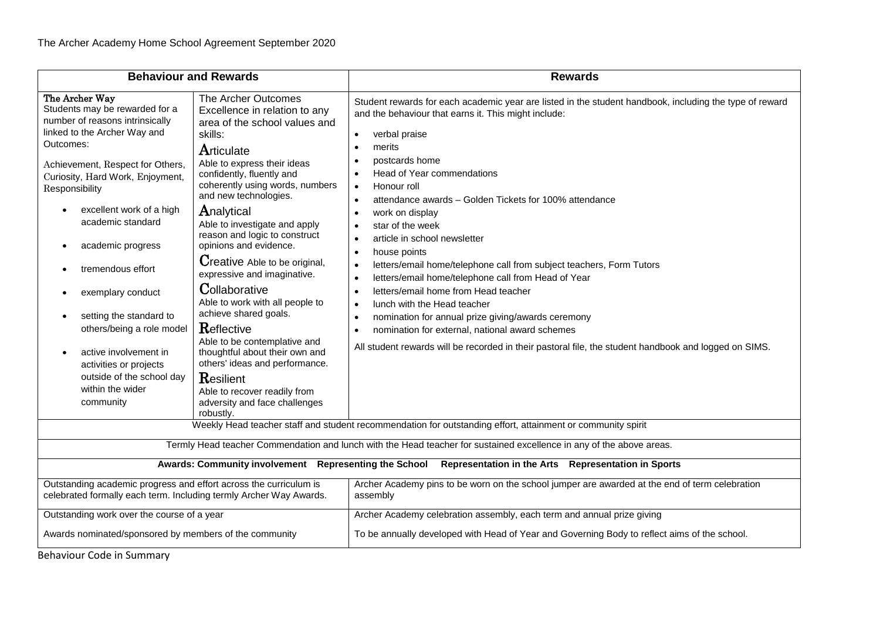| <b>Behaviour and Rewards</b>                                                                                                                                                                                                                                                                                                                                                                                                                                                                                                               |                                                                                                                                                                                                                                                                                                                                                                                                                                                                                                                                                                                                                                                                                               | <b>Rewards</b>                                                                                                                                                                                                                                                                                                                                                                                                                                                                                                                                                                                                                                                                                                                                                                                                                                                                                                                                                            |  |
|--------------------------------------------------------------------------------------------------------------------------------------------------------------------------------------------------------------------------------------------------------------------------------------------------------------------------------------------------------------------------------------------------------------------------------------------------------------------------------------------------------------------------------------------|-----------------------------------------------------------------------------------------------------------------------------------------------------------------------------------------------------------------------------------------------------------------------------------------------------------------------------------------------------------------------------------------------------------------------------------------------------------------------------------------------------------------------------------------------------------------------------------------------------------------------------------------------------------------------------------------------|---------------------------------------------------------------------------------------------------------------------------------------------------------------------------------------------------------------------------------------------------------------------------------------------------------------------------------------------------------------------------------------------------------------------------------------------------------------------------------------------------------------------------------------------------------------------------------------------------------------------------------------------------------------------------------------------------------------------------------------------------------------------------------------------------------------------------------------------------------------------------------------------------------------------------------------------------------------------------|--|
| The Archer Way<br>Students may be rewarded for a<br>number of reasons intrinsically<br>linked to the Archer Way and<br>Outcomes:<br>Achievement, Respect for Others,<br>Curiosity, Hard Work, Enjoyment,<br>Responsibility<br>excellent work of a high<br>academic standard<br>academic progress<br>٠<br>tremendous effort<br>exemplary conduct<br>٠<br>setting the standard to<br>others/being a role model<br>active involvement in<br>$\bullet$<br>activities or projects<br>outside of the school day<br>within the wider<br>community | The Archer Outcomes<br>Excellence in relation to any<br>area of the school values and<br>skills:<br>Articulate<br>Able to express their ideas<br>confidently, fluently and<br>coherently using words, numbers<br>and new technologies.<br>Analytical<br>Able to investigate and apply<br>reason and logic to construct<br>opinions and evidence.<br>Creative Able to be original,<br>expressive and imaginative.<br>Collaborative<br>Able to work with all people to<br>achieve shared goals.<br>Reflective<br>Able to be contemplative and<br>thoughtful about their own and<br>others' ideas and performance.<br>Resilient<br>Able to recover readily from<br>adversity and face challenges | Student rewards for each academic year are listed in the student handbook, including the type of reward<br>and the behaviour that earns it. This might include:<br>verbal praise<br>$\bullet$<br>merits<br>postcards home<br>Head of Year commendations<br>$\bullet$<br>Honour roll<br>$\bullet$<br>attendance awards – Golden Tickets for 100% attendance<br>work on display<br>٠<br>star of the week<br>article in school newsletter<br>$\bullet$<br>house points<br>$\bullet$<br>letters/email home/telephone call from subject teachers, Form Tutors<br>$\bullet$<br>letters/email home/telephone call from Head of Year<br>$\bullet$<br>letters/email home from Head teacher<br>$\bullet$<br>lunch with the Head teacher<br>$\bullet$<br>nomination for annual prize giving/awards ceremony<br>$\bullet$<br>nomination for external, national award schemes<br>All student rewards will be recorded in their pastoral file, the student handbook and logged on SIMS. |  |
| robustly.<br>Weekly Head teacher staff and student recommendation for outstanding effort, attainment or community spirit                                                                                                                                                                                                                                                                                                                                                                                                                   |                                                                                                                                                                                                                                                                                                                                                                                                                                                                                                                                                                                                                                                                                               |                                                                                                                                                                                                                                                                                                                                                                                                                                                                                                                                                                                                                                                                                                                                                                                                                                                                                                                                                                           |  |
| Termly Head teacher Commendation and lunch with the Head teacher for sustained excellence in any of the above areas.                                                                                                                                                                                                                                                                                                                                                                                                                       |                                                                                                                                                                                                                                                                                                                                                                                                                                                                                                                                                                                                                                                                                               |                                                                                                                                                                                                                                                                                                                                                                                                                                                                                                                                                                                                                                                                                                                                                                                                                                                                                                                                                                           |  |
| Awards: Community involvement Representing the School<br>Representation in the Arts Representation in Sports                                                                                                                                                                                                                                                                                                                                                                                                                               |                                                                                                                                                                                                                                                                                                                                                                                                                                                                                                                                                                                                                                                                                               |                                                                                                                                                                                                                                                                                                                                                                                                                                                                                                                                                                                                                                                                                                                                                                                                                                                                                                                                                                           |  |
| Outstanding academic progress and effort across the curriculum is<br>Archer Academy pins to be worn on the school jumper are awarded at the end of term celebration<br>celebrated formally each term. Including termly Archer Way Awards.<br>assembly                                                                                                                                                                                                                                                                                      |                                                                                                                                                                                                                                                                                                                                                                                                                                                                                                                                                                                                                                                                                               |                                                                                                                                                                                                                                                                                                                                                                                                                                                                                                                                                                                                                                                                                                                                                                                                                                                                                                                                                                           |  |
| Outstanding work over the course of a year                                                                                                                                                                                                                                                                                                                                                                                                                                                                                                 |                                                                                                                                                                                                                                                                                                                                                                                                                                                                                                                                                                                                                                                                                               | Archer Academy celebration assembly, each term and annual prize giving                                                                                                                                                                                                                                                                                                                                                                                                                                                                                                                                                                                                                                                                                                                                                                                                                                                                                                    |  |
|                                                                                                                                                                                                                                                                                                                                                                                                                                                                                                                                            | To be annually developed with Head of Year and Governing Body to reflect aims of the school.<br>Awards nominated/sponsored by members of the community                                                                                                                                                                                                                                                                                                                                                                                                                                                                                                                                        |                                                                                                                                                                                                                                                                                                                                                                                                                                                                                                                                                                                                                                                                                                                                                                                                                                                                                                                                                                           |  |
| <b>Behaviour Code in Summary</b>                                                                                                                                                                                                                                                                                                                                                                                                                                                                                                           |                                                                                                                                                                                                                                                                                                                                                                                                                                                                                                                                                                                                                                                                                               |                                                                                                                                                                                                                                                                                                                                                                                                                                                                                                                                                                                                                                                                                                                                                                                                                                                                                                                                                                           |  |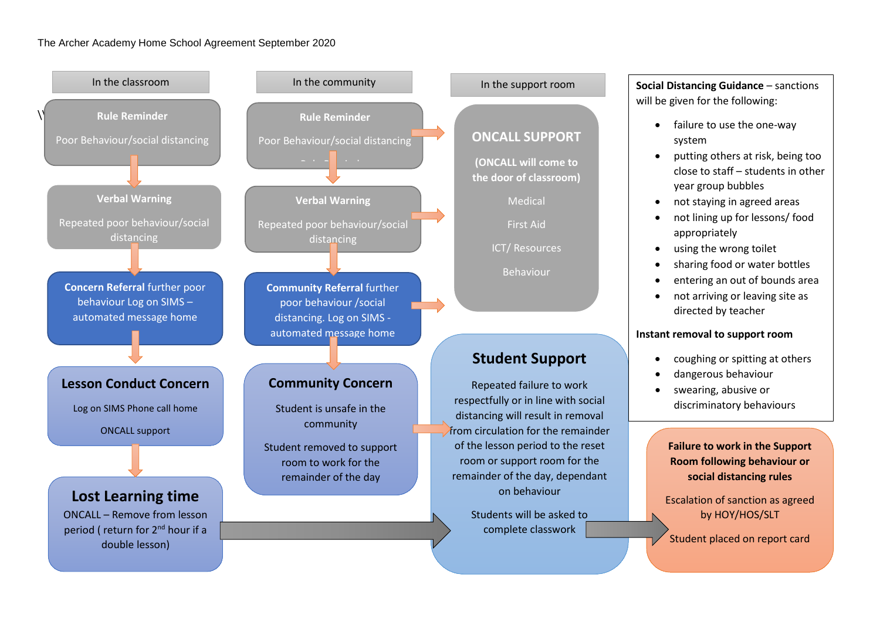## The Archer Academy Home School Agreement September 2020



will be given for the following:

- failure to use the one-way system
- putting others at risk, being too close to staff – students in other year group bubbles
- not staying in agreed areas
- not lining up for lessons/ food appropriately
- using the wrong toilet
- sharing food or water bottles
- entering an out of bounds area
- not arriving or leaving site as directed by teacher

## **Instant removal to support room**

- coughing or spitting at others
- dangerous behaviour
- swearing, abusive or discriminatory behaviours

**Failure to work in the Support Room following behaviour or social distancing rules**

Escalation of sanction as agreed by HOY/HOS/SLT

Student placed on report card